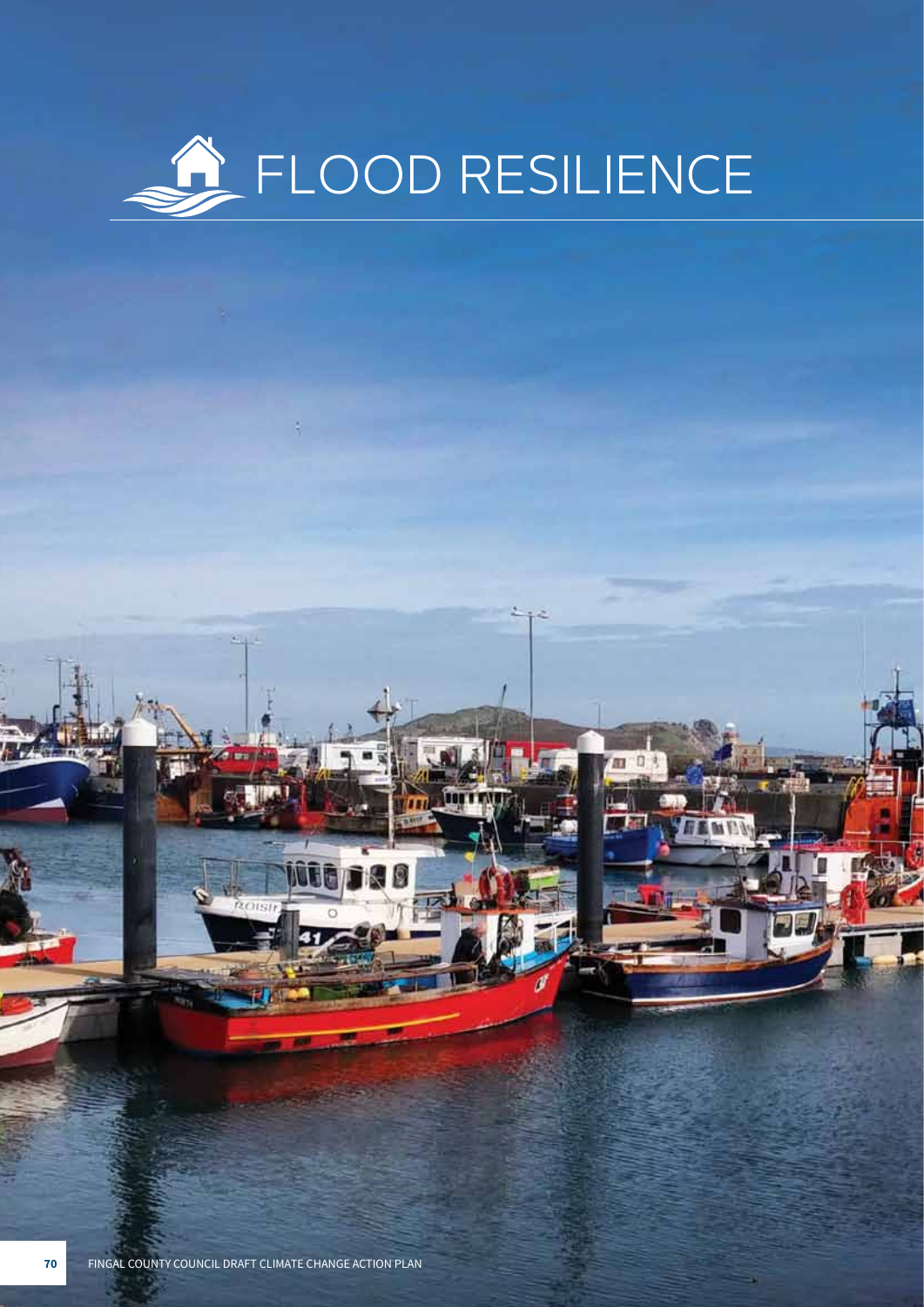

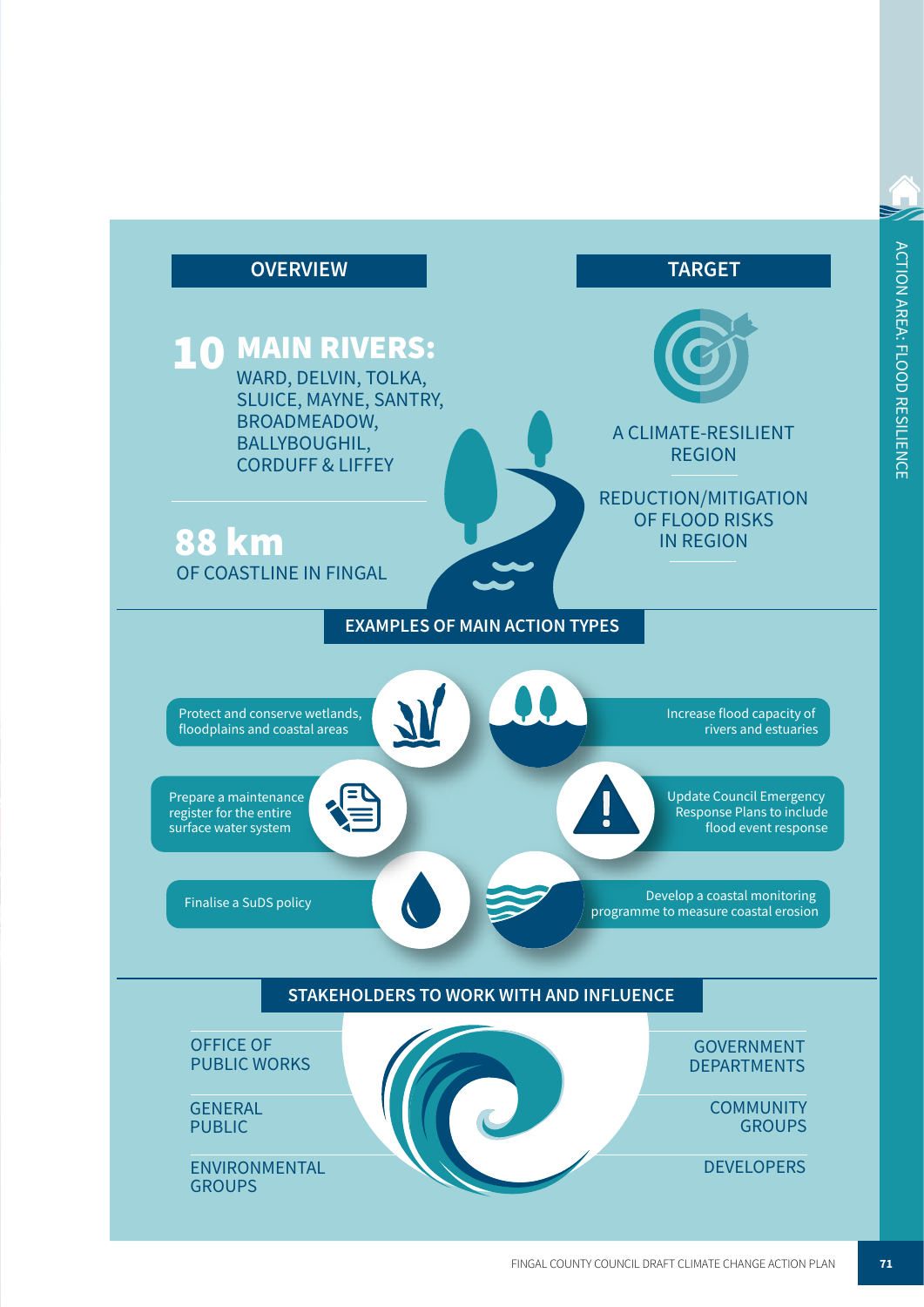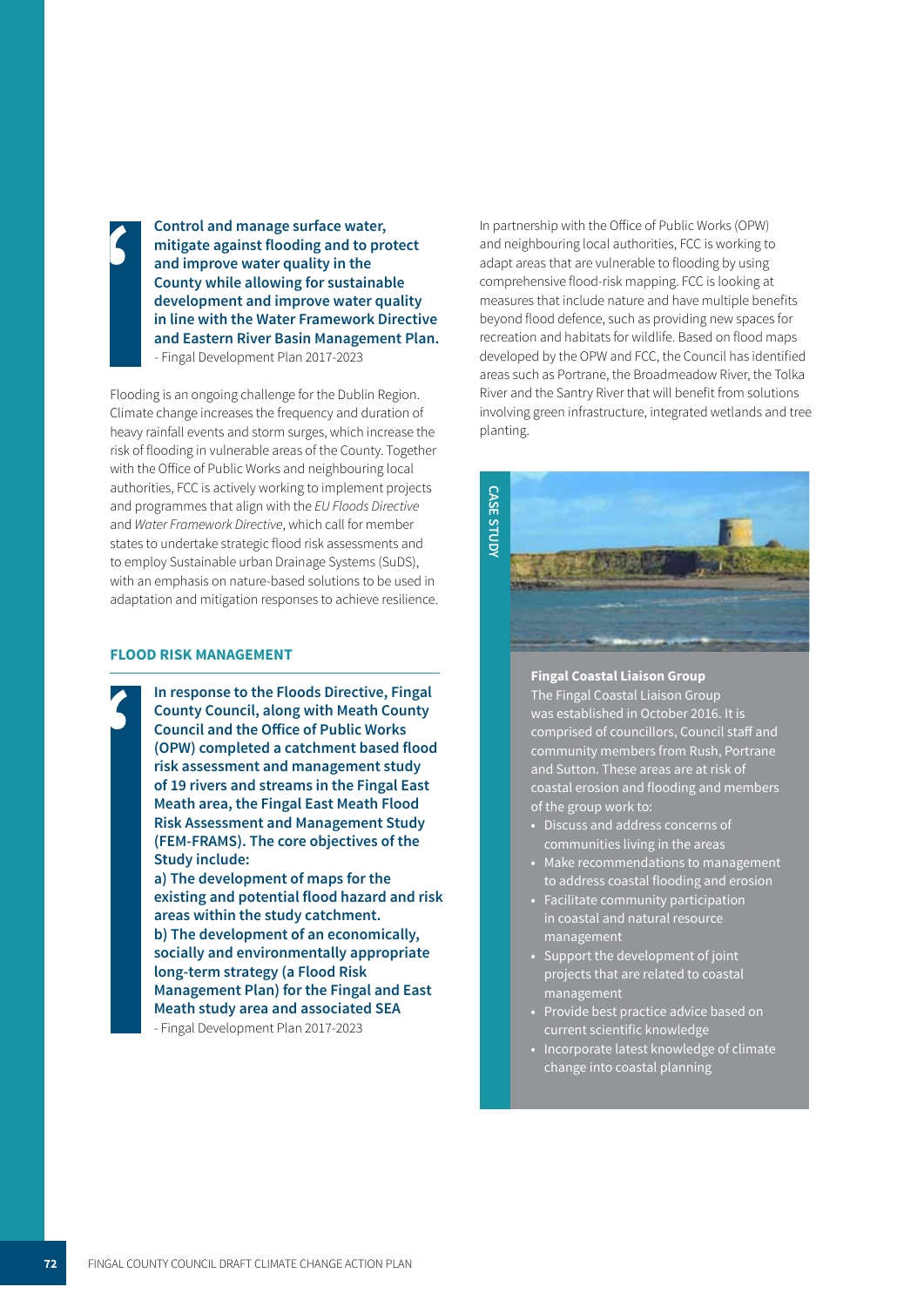**Control and manage surface water, mitigate against flooding and to protect**  i **and improve water quality in the County while allowing for sustainable development and improve water quality in line with the Water Framework Directive and Eastern River Basin Management Plan.**  - Fingal Development Plan 2017-2023

Flooding is an ongoing challenge for the Dublin Region. Climate change increases the frequency and duration of heavy rainfall events and storm surges, which increase the risk of flooding in vulnerable areas of the County. Together with the Office of Public Works and neighbouring local authorities, FCC is actively working to implement projects and programmes that align with the EU Floods Directive and *Water Framework Directive*, which call for member states to undertake strategic flood risk assessments and to employ Sustainable urban Drainage Systems (SuDS), with an emphasis on nature-based solutions to be used in adaptation and mitigation responses to achieve resilience.

### **FLOOD RISK MANAGEMENT**

**In response to the Floods Directive, Fingal County Council, along with Meath County Council and the Office of Public Works (OPW) completed a catchment based flood risk assessment and management study of 19 rivers and streams in the Fingal East Meath area, the Fingal East Meath Flood Risk Assessment and Management Study (FEM-FRAMS). The core objectives of the Study include: a) The development of maps for the existing and potential flood hazard and risk areas within the study catchment. b) The development of an economically,** 

**socially and environmentally appropriate long-term strategy (a Flood Risk Management Plan) for the Fingal and East Meath study area and associated SEA** 

- Fingal Development Plan 2017-2023

In partnership with the Office of Public Works (OPW) and neighbouring local authorities, FCC is working to adapt areas that are vulnerable to flooding by using comprehensive flood-risk mapping. FCC is looking at measures that include nature and have multiple benefits beyond flood defence, such as providing new spaces for recreation and habitats for wildlife. Based on flood maps developed by the OPW and FCC, the Council has identified areas such as Portrane, the Broadmeadow River, the Tolka River and the Santry River that will benefit from solutions involving green infrastructure, integrated wetlands and tree planting.



#### **Fingal Coastal Liaison Group**

The Fingal Coastal Liaison Group was established in October 2016. It is comprised of councillors, Council staff and community members from Rush, Portrane and Sutton. These areas are at risk of coastal erosion and flooding and members of the group work to:

- **•** Discuss and address concerns of communities living in the areas
- **•** Make recommendations to management to address coastal flooding and erosion
- **•** Facilitate community participation in coastal and natural resource management
- **•** Support the development of joint projects that are related to coastal management
- **•** Provide best practice advice based on current scientific knowledge
- **•** Incorporate latest knowledge of climate change into coastal planning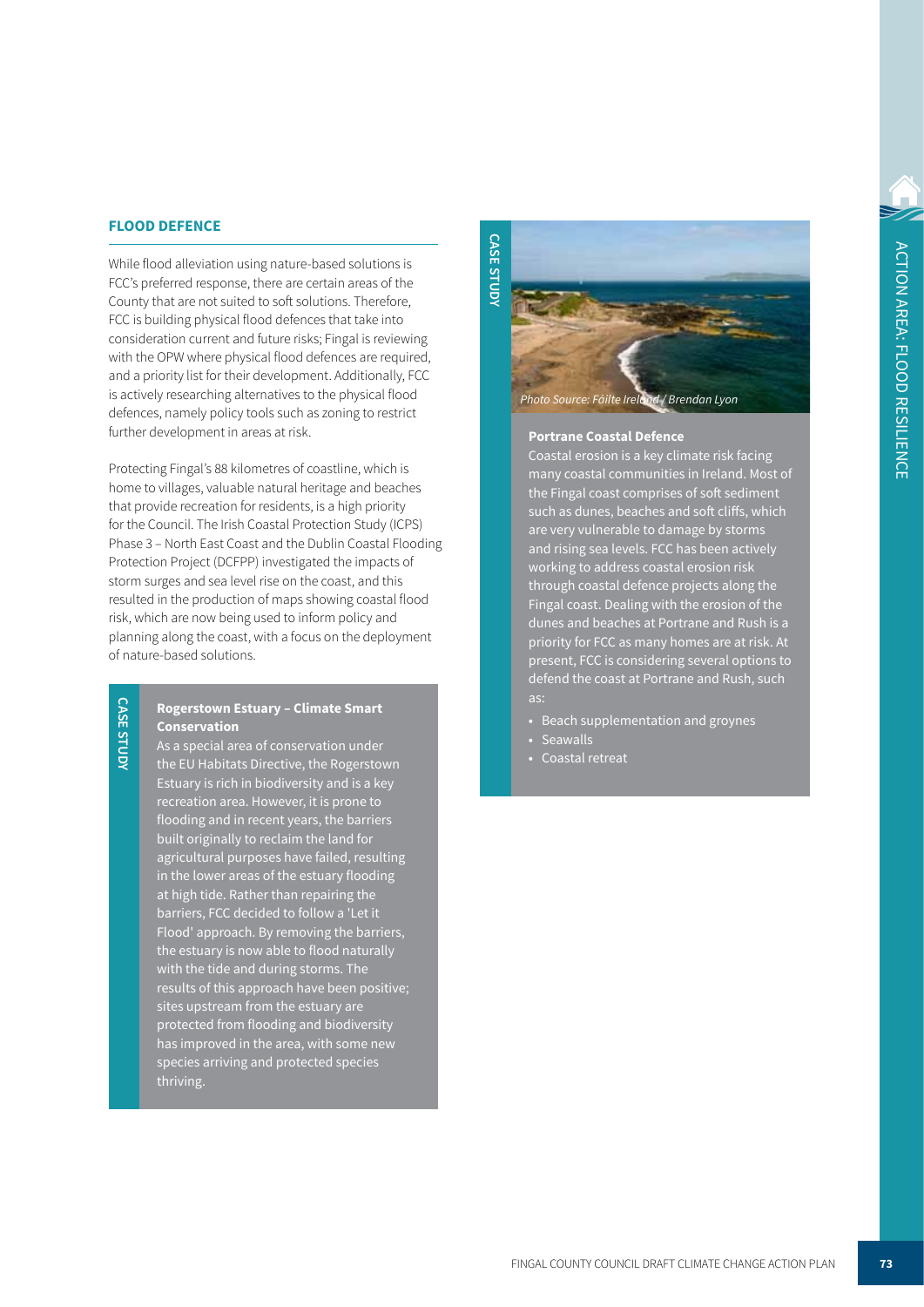## **FLOOD DEFENCE**

While flood alleviation using nature-based solutions is FCC's preferred response, there are certain areas of the County that are not suited to soft solutions. Therefore, FCC is building physical flood defences that take into consideration current and future risks; Fingal is reviewing with the OPW where physical flood defences are required, and a priority list for their development. Additionally, FCC is actively researching alternatives to the physical flood defences, namely policy tools such as zoning to restrict further development in areas at risk.

Protecting Fingal's 88 kilometres of coastline, which is home to villages, valuable natural heritage and beaches that provide recreation for residents, is a high priority for the Council. The Irish Coastal Protection Study (ICPS) Phase 3 – North East Coast and the Dublin Coastal Flooding Protection Project (DCFPP) investigated the impacts of storm surges and sea level rise on the coast, and this resulted in the production of maps showing coastal flood risk, which are now being used to inform policy and planning along the coast, with a focus on the deployment of nature-based solutions.

# **CASE STUD CASE STUDY**

# **Rogerstown Estuary – Climate Smart Conservation**

As a special area of conservation under the EU Habitats Directive, the Rogerstown Estuary is rich in biodiversity and is a key recreation area. However, it is prone to flooding and in recent years, the barriers built originally to reclaim the land for agricultural purposes have failed, resulting in the lower areas of the estuary flooding at high tide. Rather than repairing the barriers, FCC decided to follow a 'Let it Flood' approach. By removing the barriers, the estuary is now able to flood naturally with the tide and during storms. The results of this approach have been positive; sites upstream from the estuary are protected from flooding and biodiversity has improved in the area, with some new species arriving and protected species thriving.

*Photo Source: Fáilte Ireland / Brendan Lyon*

### **Portrane Coastal Defence**

**CASE STUDY**

**CASE STUDY** 

Coastal erosion is a key climate risk facing many coastal communities in Ireland. Most of the Fingal coast comprises of soft sediment such as dunes, beaches and soft cliffs, which are very vulnerable to damage by storms and rising sea levels. FCC has been actively working to address coastal erosion risk through coastal defence projects along the Fingal coast. Dealing with the erosion of the dunes and beaches at Portrane and Rush is a priority for FCC as many homes are at risk. At ent, FCC is considering several options to defend the coast at Portrane and Rush, such as:

- **•** Beach supplementation and groynes
- **•** Seawalls
- **•** Coastal retreat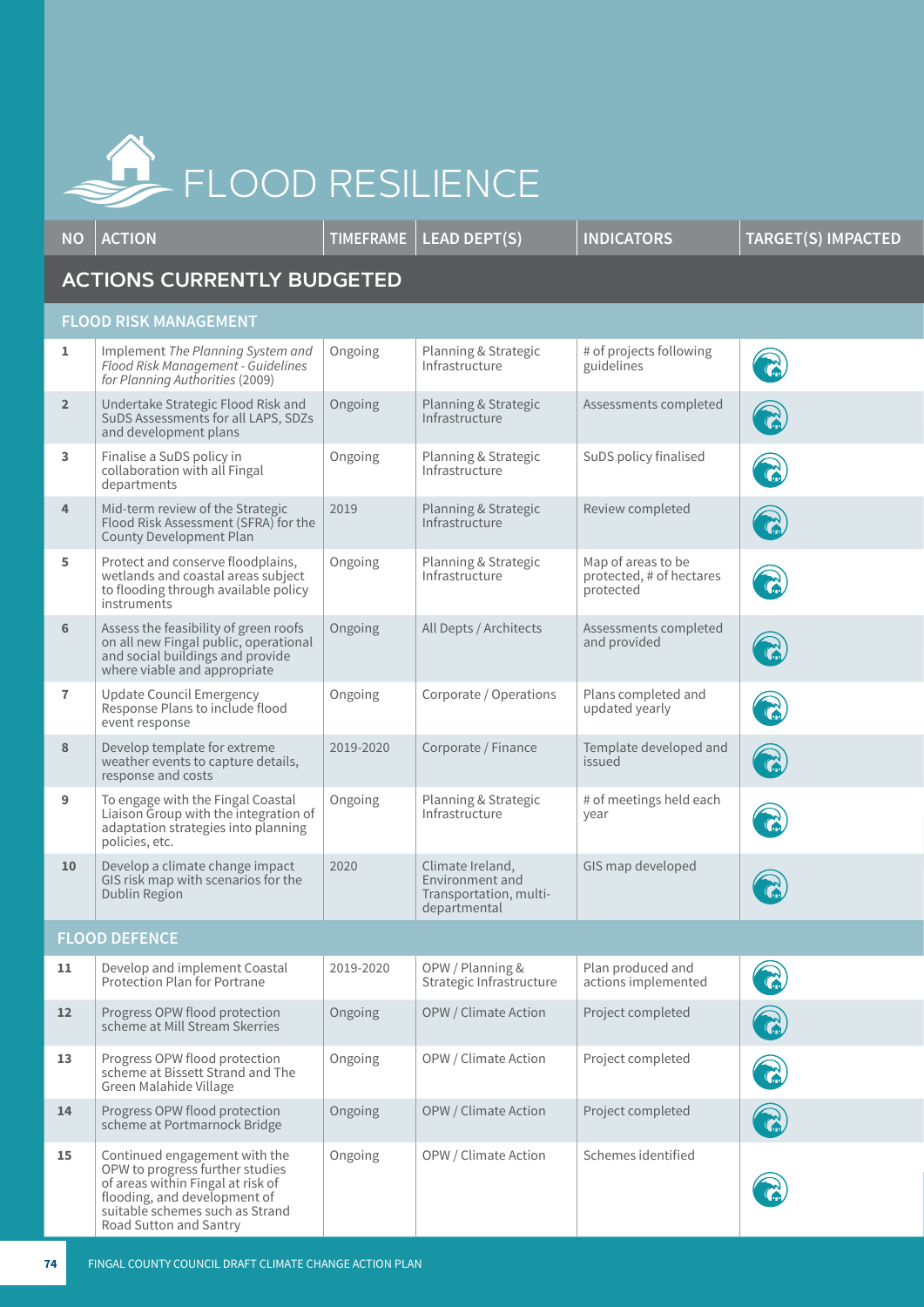

**NO ACTION TIMEFRAME LEAD DEPT(S) INDICATORS TARGET(S) IMPACTED ACTIONS CURRENTLY BUDGETED FLOOD RISK MANAGEMENT 1** Implement *The Planning System and Flood Risk Management - Guidelines for Planning Authorities* (2009) Ongoing | Planning & Strategic Infrastructure # of projects following guidelines **2** Undertake Strategic Flood Risk and SuDS Assessments for all LAPS, SDZs and development plans Ongoing Planning & Strategic Infrastructure Assessments completed **3** Finalise a SuDS policy in collaboration with all Fingal departments Ongoing Planning & Strategic Infrastructure SuDS policy finalised **4** Mid-term review of the Strategic Flood Risk Assessment (SFRA) for the County Development Plan 2019 Planning & Strategic Infrastructure Review completed **5** Protect and conserve floodplains, wetlands and coastal areas subject to flooding through available policy instruments Ongoing | Planning & Strategic Infrastructure Map of areas to be protected, # of hectares protected **6** Assess the feasibility of green roofs on all new Fingal public, operational and social buildings and provide where viable and appropriate Ongoing All Depts / Architects Assessments completed and provided **7** Update Council Emergency Response Plans to include flood event response Ongoing | Corporate / Operations | Plans completed and updated yearly **8** Develop template for extreme weather events to capture details, response and costs 2019-2020 Corporate / Finance Template developed and issued **9** To engage with the Fingal Coastal Liaison Group with the integration of adaptation strategies into planning policies, etc. Ongoing Planning & Strategic Infrastructure # of meetings held each year 10 Develop a climate change impact GIS risk map with scenarios for the Dublin Region 2020 Climate Ireland, Environment and Transportation, multidepartmental GIS map developed **FLOOD DEFENCE** 11 Develop and implement Coastal Protection Plan for Portrane 2019-2020 OPW / Planning & Strategic Infrastructure Plan produced and actions implemented 12 Progress OPW flood protection scheme at Mill Stream Skerries Ongoing | OPW / Climate Action | Project completed 13 Progress OPW flood protection scheme at Bissett Strand and The Green Malahide Village Ongoing | OPW / Climate Action | Project completed **14** Progress OPW flood protection scheme at Portmarnock Bridge Ongoing | OPW / Climate Action | Project completed **15** Continued engagement with the OPW to progress further studies of areas within Fingal at risk of flooding, and development of suitable schemes such as Strand Ongoing | OPW / Climate Action | Schemes identified

Road Sutton and Santry